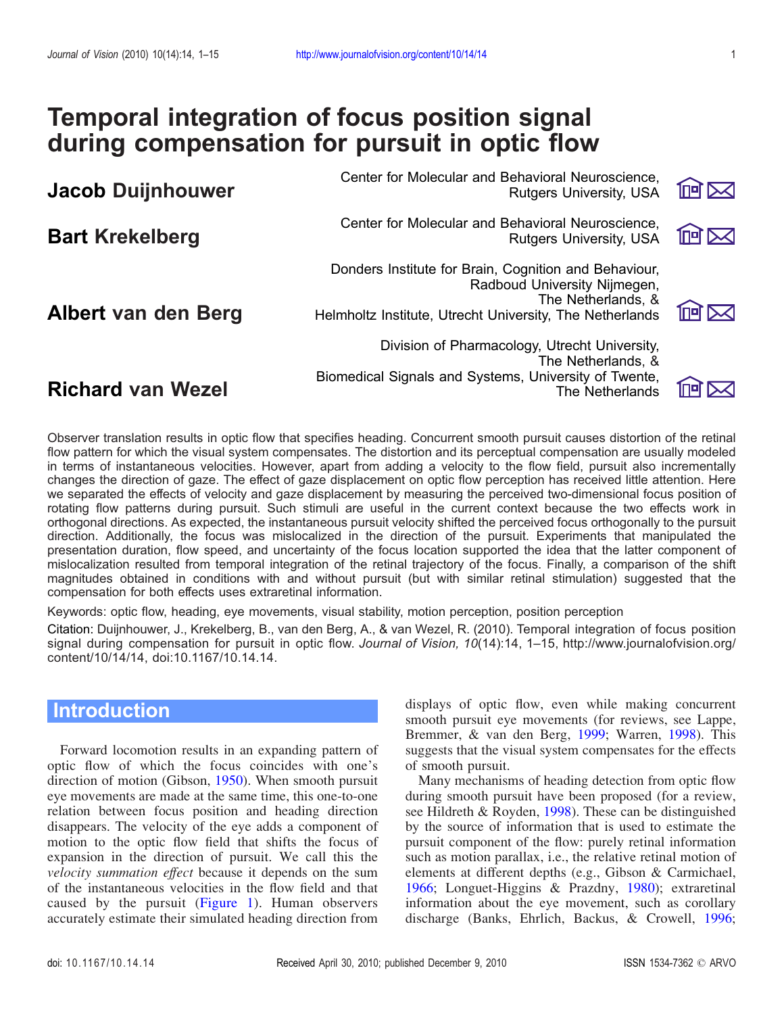# Temporal integration of focus position signal during compensation for pursuit in optic flow

| <b>Jacob Duijnhouwer</b> | Center for Molecular and Behavioral Neuroscience,<br><b>Rutgers University, USA</b>                                                                                     | $\mathbb H\boxtimes$ |
|--------------------------|-------------------------------------------------------------------------------------------------------------------------------------------------------------------------|----------------------|
| <b>Bart Krekelberg</b>   | Center for Molecular and Behavioral Neuroscience,<br><b>Rutgers University, USA</b>                                                                                     | 阿冈                   |
| Albert van den Berg      | Donders Institute for Brain, Cognition and Behaviour,<br>Radboud University Nijmegen,<br>The Netherlands, &<br>Helmholtz Institute, Utrecht University, The Netherlands | $\mathbb M$ en       |
| <b>Richard van Wezel</b> | Division of Pharmacology, Utrecht University,<br>The Netherlands, &<br>Biomedical Signals and Systems, University of Twente,<br>The Netherlands                         |                      |

Observer translation results in optic flow that specifies heading. Concurrent smooth pursuit causes distortion of the retinal flow pattern for which the visual system compensates. The distortion and its perceptual compensation are usually modeled in terms of instantaneous velocities. However, apart from adding a velocity to the flow field, pursuit also incrementally changes the direction of gaze. The effect of gaze displacement on optic flow perception has received little attention. Here we separated the effects of velocity and gaze displacement by measuring the perceived two-dimensional focus position of rotating flow patterns during pursuit. Such stimuli are useful in the current context because the two effects work in orthogonal directions. As expected, the instantaneous pursuit velocity shifted the perceived focus orthogonally to the pursuit direction. Additionally, the focus was mislocalized in the direction of the pursuit. Experiments that manipulated the presentation duration, flow speed, and uncertainty of the focus location supported the idea that the latter component of mislocalization resulted from temporal integration of the retinal trajectory of the focus. Finally, a comparison of the shift magnitudes obtained in conditions with and without pursuit (but with similar retinal stimulation) suggested that the compensation for both effects uses extraretinal information.

Keywords: optic flow, heading, eye movements, visual stability, motion perception, position perception

Citation: Duijnhouwer, J., Krekelberg, B., van den Berg, A., & van Wezel, R. (2010). Temporal integration of focus position signal during compensation for pursuit in optic flow. Journal of Vision, 10(14):14, 1–15, http://www.journalofvision.org/ content/10/14/14, doi:10.1167/10.14.14.

# Introduction

Forward locomotion results in an expanding pattern of optic flow of which the focus coincides with one's direction of motion (Gibson, [1950\)](#page-13-0). When smooth pursuit eye movements are made at the same time, this one-to-one relation between focus position and heading direction disappears. The velocity of the eye adds a component of motion to the optic flow field that shifts the focus of expansion in the direction of pursuit. We call this the velocity summation effect because it depends on the sum of the instantaneous velocities in the flow field and that caused by the pursuit [\(Figure 1](#page-1-0)). Human observers accurately estimate their simulated heading direction from displays of optic flow, even while making concurrent smooth pursuit eye movements (for reviews, see Lappe, Bremmer, & van den Berg, [1999;](#page-13-0) Warren, [1998\)](#page-14-0). This suggests that the visual system compensates for the effects of smooth pursuit.

Many mechanisms of heading detection from optic flow during smooth pursuit have been proposed (for a review, see Hildreth & Royden, [1998](#page-13-0)). These can be distinguished by the source of information that is used to estimate the pursuit component of the flow: purely retinal information such as motion parallax, i.e., the relative retinal motion of elements at different depths (e.g., Gibson & Carmichael, [1966;](#page-13-0) Longuet-Higgins & Prazdny, [1980\)](#page-13-0); extraretinal information about the eye movement, such as corollary discharge (Banks, Ehrlich, Backus, & Crowell, [1996;](#page-12-0)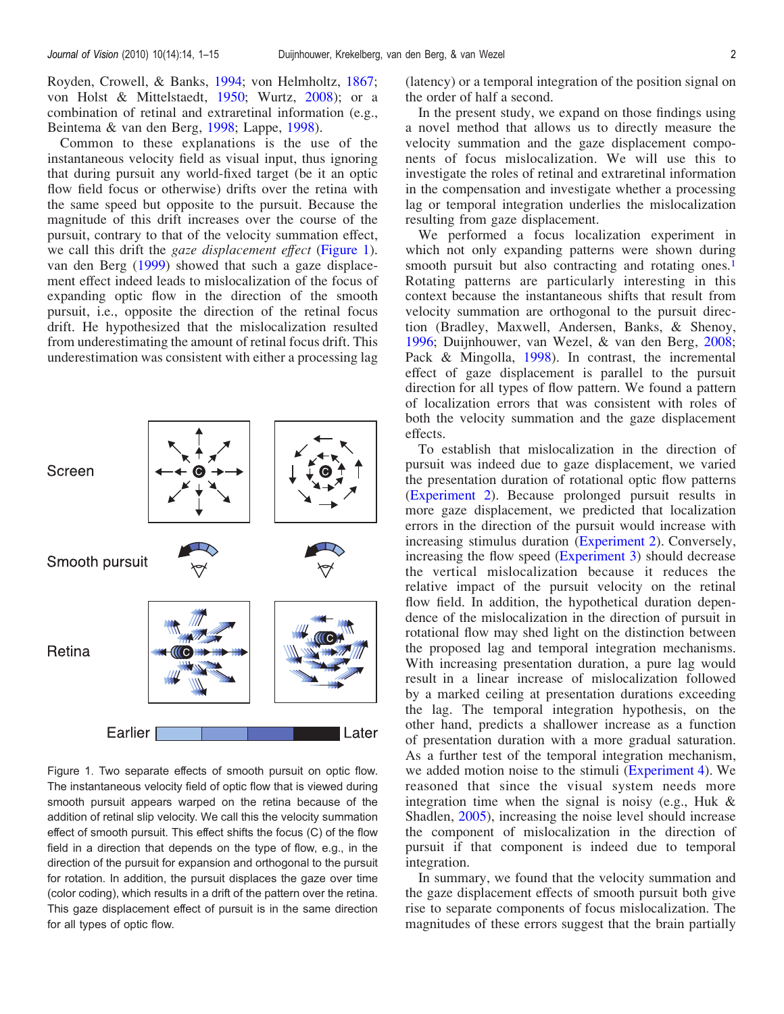<span id="page-1-0"></span>Royden, Crowell, & Banks, [1994](#page-14-0); von Helmholtz, [1867](#page-14-0); von Holst & Mittelstaedt, [1950](#page-14-0); Wurtz, [2008\)](#page-14-0); or a combination of retinal and extraretinal information (e.g., Beintema & van den Berg, [1998](#page-12-0); Lappe, [1998\)](#page-13-0).

Common to these explanations is the use of the instantaneous velocity field as visual input, thus ignoring that during pursuit any world-fixed target (be it an optic flow field focus or otherwise) drifts over the retina with the same speed but opposite to the pursuit. Because the magnitude of this drift increases over the course of the pursuit, contrary to that of the velocity summation effect, we call this drift the *gaze displacement effect* (Figure 1). van den Berg [\(1999](#page-14-0)) showed that such a gaze displacement effect indeed leads to mislocalization of the focus of expanding optic flow in the direction of the smooth pursuit, i.e., opposite the direction of the retinal focus drift. He hypothesized that the mislocalization resulted from underestimating the amount of retinal focus drift. This underestimation was consistent with either a processing lag



Figure 1. Two separate effects of smooth pursuit on optic flow. The instantaneous velocity field of optic flow that is viewed during smooth pursuit appears warped on the retina because of the addition of retinal slip velocity. We call this the velocity summation effect of smooth pursuit. This effect shifts the focus (C) of the flow field in a direction that depends on the type of flow, e.g., in the direction of the pursuit for expansion and orthogonal to the pursuit for rotation. In addition, the pursuit displaces the gaze over time (color coding), which results in a drift of the pattern over the retina. This gaze displacement effect of pursuit is in the same direction for all types of optic flow.

(latency) or a temporal integration of the position signal on the order of half a second.

In the present study, we expand on those findings using a novel method that allows us to directly measure the velocity summation and the gaze displacement components of focus mislocalization. We will use this to investigate the roles of retinal and extraretinal information in the compensation and investigate whether a processing lag or temporal integration underlies the mislocalization resulting from gaze displacement.

We performed a focus localization experiment in which not only expanding patterns were shown during smooth pursuit but also contracting and rotating ones.<sup>[1](#page-12-0)</sup> Rotating patterns are particularly interesting in this context because the instantaneous shifts that result from velocity summation are orthogonal to the pursuit direction (Bradley, Maxwell, Andersen, Banks, & Shenoy, [1996;](#page-12-0) Duijnhouwer, van Wezel, & van den Berg, [2008;](#page-13-0) Pack & Mingolla, [1998\)](#page-13-0). In contrast, the incremental effect of gaze displacement is parallel to the pursuit direction for all types of flow pattern. We found a pattern of localization errors that was consistent with roles of both the velocity summation and the gaze displacement effects.

To establish that mislocalization in the direction of pursuit was indeed due to gaze displacement, we varied the presentation duration of rotational optic flow patterns [\(Experiment 2\)](#page-5-0). Because prolonged pursuit results in more gaze displacement, we predicted that localization errors in the direction of the pursuit would increase with increasing stimulus duration ([Experiment 2\)](#page-5-0). Conversely, increasing the flow speed [\(Experiment 3](#page-6-0)) should decrease the vertical mislocalization because it reduces the relative impact of the pursuit velocity on the retinal flow field. In addition, the hypothetical duration dependence of the mislocalization in the direction of pursuit in rotational flow may shed light on the distinction between the proposed lag and temporal integration mechanisms. With increasing presentation duration, a pure lag would result in a linear increase of mislocalization followed by a marked ceiling at presentation durations exceeding the lag. The temporal integration hypothesis, on the other hand, predicts a shallower increase as a function of presentation duration with a more gradual saturation. As a further test of the temporal integration mechanism, we added motion noise to the stimuli ([Experiment 4\)](#page-7-0). We reasoned that since the visual system needs more integration time when the signal is noisy (e.g., Huk & Shadlen, [2005](#page-13-0)), increasing the noise level should increase the component of mislocalization in the direction of pursuit if that component is indeed due to temporal integration.

In summary, we found that the velocity summation and the gaze displacement effects of smooth pursuit both give rise to separate components of focus mislocalization. The magnitudes of these errors suggest that the brain partially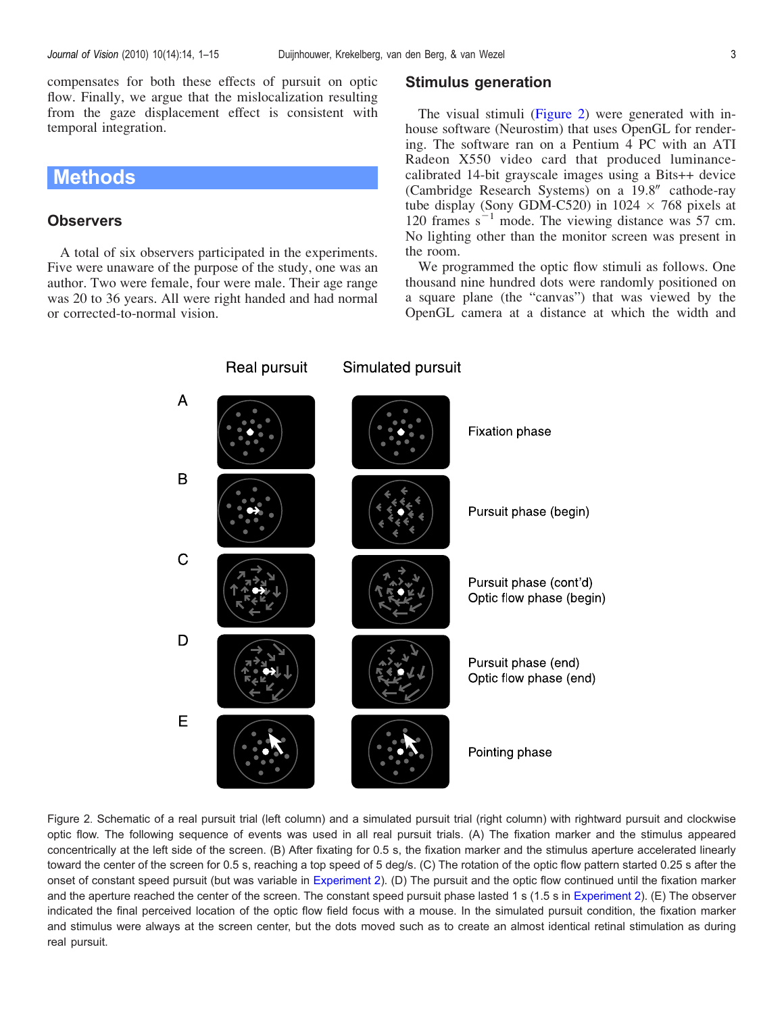compensates for both these effects of pursuit on optic flow. Finally, we argue that the mislocalization resulting from the gaze displacement effect is consistent with temporal integration.

# Methods

#### **Observers**

A total of six observers participated in the experiments. Five were unaware of the purpose of the study, one was an author. Two were female, four were male. Their age range was 20 to 36 years. All were right handed and had normal or corrected-to-normal vision.

#### Stimulus generation

The visual stimuli (Figure 2) were generated with inhouse software (Neurostim) that uses OpenGL for rendering. The software ran on a Pentium 4 PC with an ATI Radeon X550 video card that produced luminancecalibrated 14-bit grayscale images using a Bits++ device (Cambridge Research Systems) on a 19.8*W* cathode-ray tube display (Sony GDM-C520) in  $1024 \times 768$  pixels at 120 frames  $s^{-1}$  mode. The viewing distance was 57 cm. No lighting other than the monitor screen was present in the room.

We programmed the optic flow stimuli as follows. One thousand nine hundred dots were randomly positioned on a square plane (the "canvas") that was viewed by the OpenGL camera at a distance at which the width and



Figure 2. Schematic of a real pursuit trial (left column) and a simulated pursuit trial (right column) with rightward pursuit and clockwise optic flow. The following sequence of events was used in all real pursuit trials. (A) The fixation marker and the stimulus appeared concentrically at the left side of the screen. (B) After fixating for 0.5 s, the fixation marker and the stimulus aperture accelerated linearly toward the center of the screen for 0.5 s, reaching a top speed of 5 deg/s. (C) The rotation of the optic flow pattern started 0.25 s after the onset of constant speed pursuit (but was variable in [Experiment 2](#page-5-0)). (D) The pursuit and the optic flow continued until the fixation marker and the aperture reached the center of the screen. The constant speed pursuit phase lasted 1 s (1.5 s in [Experiment 2\)](#page-5-0). (E) The observer indicated the final perceived location of the optic flow field focus with a mouse. In the simulated pursuit condition, the fixation marker and stimulus were always at the screen center, but the dots moved such as to create an almost identical retinal stimulation as during real pursuit.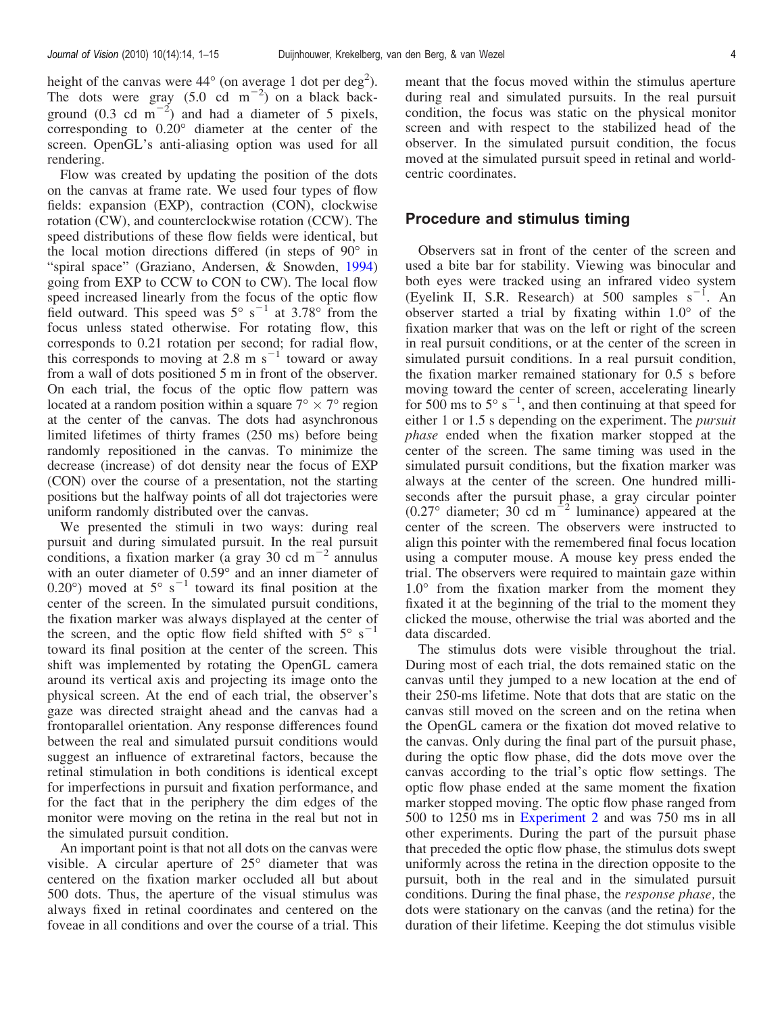height of the canvas were  $44^{\circ}$  (on average 1 dot per deg<sup>2</sup>). The dots were gray  $(5.0 \text{ cd m}^{-2})$  on a black background (0.3 cd  $m^{-2}$ ) and had a diameter of 5 pixels, corresponding to  $0.20^\circ$  diameter at the center of the screen. OpenGL's anti-aliasing option was used for all rendering.

Flow was created by updating the position of the dots on the canvas at frame rate. We used four types of flow fields: expansion (EXP), contraction (CON), clockwise rotation (CW), and counterclockwise rotation (CCW). The speed distributions of these flow fields were identical, but the local motion directions differed (in steps of  $90^{\circ}$  in "spiral space" (Graziano, Andersen, & Snowden, [1994\)](#page-13-0) going from EXP to CCW to CON to CW). The local flow speed increased linearly from the focus of the optic flow field outward. This speed was  $5^{\circ}$  s<sup>-1</sup> at 3.78 $^{\circ}$  from the focus unless stated otherwise. For rotating flow, this corresponds to 0.21 rotation per second; for radial flow, this corresponds to moving at 2.8 m  $s^{-1}$  toward or away from a wall of dots positioned 5 m in front of the observer. On each trial, the focus of the optic flow pattern was located at a random position within a square  $7^{\circ} \times 7^{\circ}$  region at the center of the canvas. The dots had asynchronous limited lifetimes of thirty frames (250 ms) before being randomly repositioned in the canvas. To minimize the decrease (increase) of dot density near the focus of EXP (CON) over the course of a presentation, not the starting positions but the halfway points of all dot trajectories were uniform randomly distributed over the canvas.

We presented the stimuli in two ways: during real pursuit and during simulated pursuit. In the real pursuit conditions, a fixation marker (a gray 30 cd m<sup> $-2$ </sup> annulus with an outer diameter of 0.59° and an inner diameter of 0.20 $^{\circ}$ ) moved at 5 $^{\circ}$  s<sup>-1</sup> toward its final position at the center of the screen. In the simulated pursuit conditions, the fixation marker was always displayed at the center of the screen, and the optic flow field shifted with  $5^{\circ}$  s<sup>-1</sup> toward its final position at the center of the screen. This shift was implemented by rotating the OpenGL camera around its vertical axis and projecting its image onto the physical screen. At the end of each trial, the observer's gaze was directed straight ahead and the canvas had a frontoparallel orientation. Any response differences found between the real and simulated pursuit conditions would suggest an influence of extraretinal factors, because the retinal stimulation in both conditions is identical except for imperfections in pursuit and fixation performance, and for the fact that in the periphery the dim edges of the monitor were moving on the retina in the real but not in the simulated pursuit condition.

An important point is that not all dots on the canvas were visible. A circular aperture of  $25^{\circ}$  diameter that was centered on the fixation marker occluded all but about 500 dots. Thus, the aperture of the visual stimulus was always fixed in retinal coordinates and centered on the foveae in all conditions and over the course of a trial. This meant that the focus moved within the stimulus aperture during real and simulated pursuits. In the real pursuit condition, the focus was static on the physical monitor screen and with respect to the stabilized head of the observer. In the simulated pursuit condition, the focus moved at the simulated pursuit speed in retinal and worldcentric coordinates.

#### Procedure and stimulus timing

Observers sat in front of the center of the screen and used a bite bar for stability. Viewing was binocular and both eyes were tracked using an infrared video system (Eyelink II, S.R. Research) at 500 samples  $s^{-1}$ . An observer started a trial by fixating within  $1.0^{\circ}$  of the fixation marker that was on the left or right of the screen in real pursuit conditions, or at the center of the screen in simulated pursuit conditions. In a real pursuit condition, the fixation marker remained stationary for 0.5 s before moving toward the center of screen, accelerating linearly for 500 ms to 5 $^{\circ}$  s<sup>-1</sup>, and then continuing at that speed for either 1 or 1.5 s depending on the experiment. The pursuit phase ended when the fixation marker stopped at the center of the screen. The same timing was used in the simulated pursuit conditions, but the fixation marker was always at the center of the screen. One hundred milliseconds after the pursuit phase, a gray circular pointer  $(0.27^{\circ}$  diameter; 30 cd m<sup>-2</sup> luminance) appeared at the center of the screen. The observers were instructed to align this pointer with the remembered final focus location using a computer mouse. A mouse key press ended the trial. The observers were required to maintain gaze within  $1.0^{\circ}$  from the fixation marker from the moment they fixated it at the beginning of the trial to the moment they clicked the mouse, otherwise the trial was aborted and the data discarded.

The stimulus dots were visible throughout the trial. During most of each trial, the dots remained static on the canvas until they jumped to a new location at the end of their 250-ms lifetime. Note that dots that are static on the canvas still moved on the screen and on the retina when the OpenGL camera or the fixation dot moved relative to the canvas. Only during the final part of the pursuit phase, during the optic flow phase, did the dots move over the canvas according to the trial's optic flow settings. The optic flow phase ended at the same moment the fixation marker stopped moving. The optic flow phase ranged from 500 to 1250 ms in [Experiment 2](#page-5-0) and was 750 ms in all other experiments. During the part of the pursuit phase that preceded the optic flow phase, the stimulus dots swept uniformly across the retina in the direction opposite to the pursuit, both in the real and in the simulated pursuit conditions. During the final phase, the response phase, the dots were stationary on the canvas (and the retina) for the duration of their lifetime. Keeping the dot stimulus visible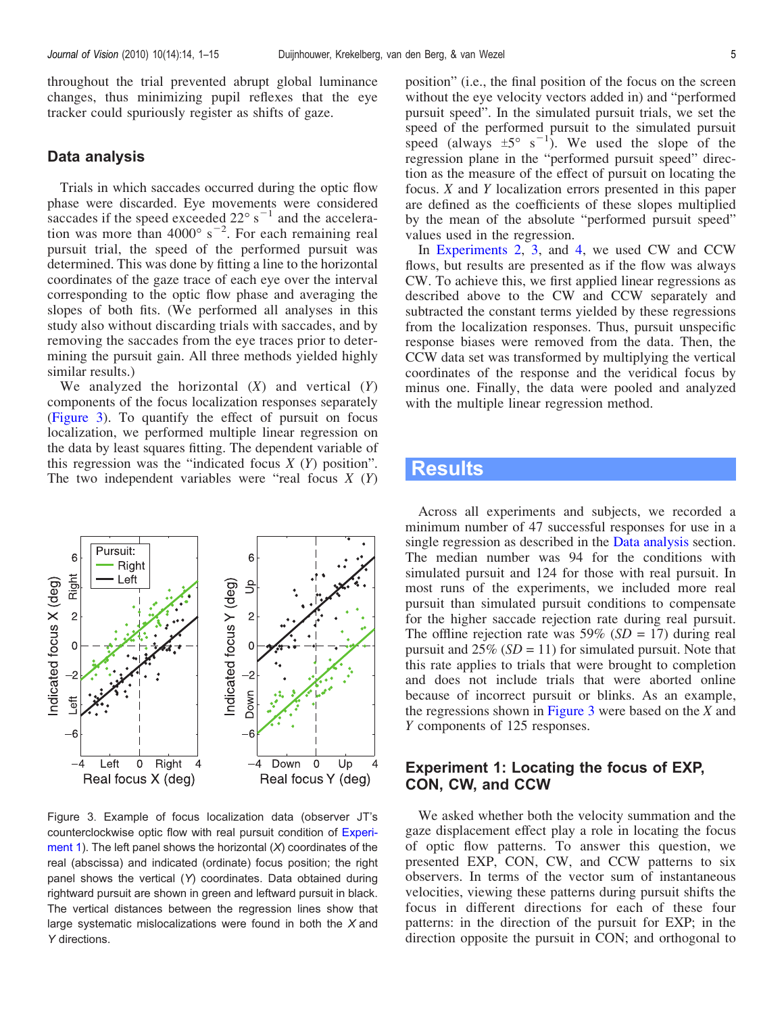<span id="page-4-0"></span>throughout the trial prevented abrupt global luminance changes, thus minimizing pupil reflexes that the eye tracker could spuriously register as shifts of gaze.

#### Data analysis

Trials in which saccades occurred during the optic flow phase were discarded. Eye movements were considered saccades if the speed exceeded  $22^{\circ}$  s<sup>-1</sup> and the acceleration was more than  $4000^\circ$  s<sup>-2</sup>. For each remaining real pursuit trial, the speed of the performed pursuit was determined. This was done by fitting a line to the horizontal coordinates of the gaze trace of each eye over the interval corresponding to the optic flow phase and averaging the slopes of both fits. (We performed all analyses in this study also without discarding trials with saccades, and by removing the saccades from the eye traces prior to determining the pursuit gain. All three methods yielded highly similar results.)

We analyzed the horizontal  $(X)$  and vertical  $(Y)$ components of the focus localization responses separately (Figure 3). To quantify the effect of pursuit on focus localization, we performed multiple linear regression on the data by least squares fitting. The dependent variable of this regression was the "indicated focus  $X(Y)$  position". The two independent variables were "real focus  $X(Y)$ 



Figure 3. Example of focus localization data (observer JT's counterclockwise optic flow with real pursuit condition of Experiment 1). The left panel shows the horizontal  $(X)$  coordinates of the real (abscissa) and indicated (ordinate) focus position; the right panel shows the vertical (Y) coordinates. Data obtained during rightward pursuit are shown in green and leftward pursuit in black. The vertical distances between the regression lines show that large systematic mislocalizations were found in both the  $X$  and Y directions.

position" (i.e., the final position of the focus on the screen without the eye velocity vectors added in) and "performed pursuit speed". In the simulated pursuit trials, we set the speed of the performed pursuit to the simulated pursuit speed (always  $\pm 5^{\circ}$  s<sup>-1</sup>). We used the slope of the regression plane in the "performed pursuit speed" direction as the measure of the effect of pursuit on locating the focus. X and Y localization errors presented in this paper are defined as the coefficients of these slopes multiplied by the mean of the absolute "performed pursuit speed" values used in the regression.

In [Experiments 2](#page-5-0), [3,](#page-6-0) and [4](#page-7-0), we used CW and CCW flows, but results are presented as if the flow was always CW. To achieve this, we first applied linear regressions as described above to the CW and CCW separately and subtracted the constant terms yielded by these regressions from the localization responses. Thus, pursuit unspecific response biases were removed from the data. Then, the CCW data set was transformed by multiplying the vertical coordinates of the response and the veridical focus by minus one. Finally, the data were pooled and analyzed with the multiple linear regression method.

# **Results**

Across all experiments and subjects, we recorded a minimum number of 47 successful responses for use in a single regression as described in the Data analysis section. The median number was 94 for the conditions with simulated pursuit and 124 for those with real pursuit. In most runs of the experiments, we included more real pursuit than simulated pursuit conditions to compensate for the higher saccade rejection rate during real pursuit. The offline rejection rate was 59% ( $SD = 17$ ) during real pursuit and  $25\%$  (SD = 11) for simulated pursuit. Note that this rate applies to trials that were brought to completion and does not include trials that were aborted online because of incorrect pursuit or blinks. As an example, the regressions shown in Figure 3 were based on the  $X$  and Y components of 125 responses.

## Experiment 1: Locating the focus of EXP, CON, CW, and CCW

We asked whether both the velocity summation and the gaze displacement effect play a role in locating the focus of optic flow patterns. To answer this question, we presented EXP, CON, CW, and CCW patterns to six observers. In terms of the vector sum of instantaneous velocities, viewing these patterns during pursuit shifts the focus in different directions for each of these four patterns: in the direction of the pursuit for EXP; in the direction opposite the pursuit in CON; and orthogonal to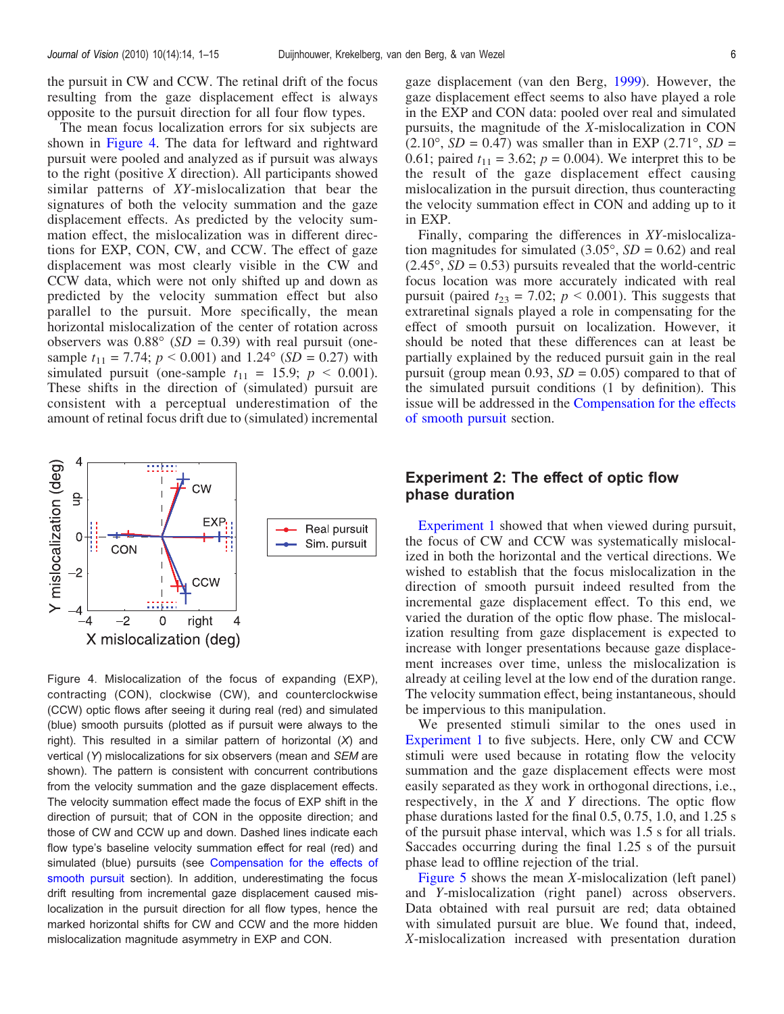<span id="page-5-0"></span>the pursuit in CW and CCW. The retinal drift of the focus resulting from the gaze displacement effect is always opposite to the pursuit direction for all four flow types.

The mean focus localization errors for six subjects are shown in Figure 4. The data for leftward and rightward pursuit were pooled and analyzed as if pursuit was always to the right (positive X direction). All participants showed similar patterns of XY-mislocalization that bear the signatures of both the velocity summation and the gaze displacement effects. As predicted by the velocity summation effect, the mislocalization was in different directions for EXP, CON, CW, and CCW. The effect of gaze displacement was most clearly visible in the CW and CCW data, which were not only shifted up and down as predicted by the velocity summation effect but also parallel to the pursuit. More specifically, the mean horizontal mislocalization of the center of rotation across observers was  $0.88^{\circ}$  (SD = 0.39) with real pursuit (onesample  $t_{11} = 7.74$ ;  $p < 0.001$ ) and 1.24° (SD = 0.27) with simulated pursuit (one-sample  $t_{11} = 15.9$ ;  $p < 0.001$ ). These shifts in the direction of (simulated) pursuit are consistent with a perceptual underestimation of the amount of retinal focus drift due to (simulated) incremental



Figure 4. Mislocalization of the focus of expanding (EXP), contracting (CON), clockwise (CW), and counterclockwise (CCW) optic flows after seeing it during real (red) and simulated (blue) smooth pursuits (plotted as if pursuit were always to the right). This resulted in a similar pattern of horizontal  $(X)$  and vertical (Y) mislocalizations for six observers (mean and SEM are shown). The pattern is consistent with concurrent contributions from the velocity summation and the gaze displacement effects. The velocity summation effect made the focus of EXP shift in the direction of pursuit; that of CON in the opposite direction; and those of CW and CCW up and down. Dashed lines indicate each flow type's baseline velocity summation effect for real (red) and simulated (blue) pursuits (see [Compensation for the effects of](#page-8-0) [smooth pursuit](#page-8-0) section). In addition, underestimating the focus drift resulting from incremental gaze displacement caused mislocalization in the pursuit direction for all flow types, hence the marked horizontal shifts for CW and CCW and the more hidden mislocalization magnitude asymmetry in EXP and CON.

gaze displacement (van den Berg, [1999](#page-14-0)). However, the gaze displacement effect seems to also have played a role in the EXP and CON data: pooled over real and simulated pursuits, the magnitude of the X-mislocalization in CON  $(2.10^{\circ}, SD = 0.47)$  was smaller than in EXP  $(2.71^{\circ}, SD = 0.47)$ 0.61; paired  $t_{11} = 3.62$ ;  $p = 0.004$ ). We interpret this to be the result of the gaze displacement effect causing mislocalization in the pursuit direction, thus counteracting the velocity summation effect in CON and adding up to it in EXP.

Finally, comparing the differences in XY-mislocalization magnitudes for simulated  $(3.05^{\circ}, SD = 0.62)$  and real  $(2.45^{\circ}, SD = 0.53)$  pursuits revealed that the world-centric focus location was more accurately indicated with real pursuit (paired  $t_{23} = 7.02$ ;  $p < 0.001$ ). This suggests that extraretinal signals played a role in compensating for the effect of smooth pursuit on localization. However, it should be noted that these differences can at least be partially explained by the reduced pursuit gain in the real pursuit (group mean 0.93,  $SD = 0.05$ ) compared to that of the simulated pursuit conditions (1 by definition). This issue will be addressed in the [Compensation for the effects](#page-8-0) [of smooth pursuit](#page-8-0) section.

## Experiment 2: The effect of optic flow phase duration

[Experiment 1](#page-4-0) showed that when viewed during pursuit, the focus of CW and CCW was systematically mislocalized in both the horizontal and the vertical directions. We wished to establish that the focus mislocalization in the direction of smooth pursuit indeed resulted from the incremental gaze displacement effect. To this end, we varied the duration of the optic flow phase. The mislocalization resulting from gaze displacement is expected to increase with longer presentations because gaze displacement increases over time, unless the mislocalization is already at ceiling level at the low end of the duration range. The velocity summation effect, being instantaneous, should be impervious to this manipulation.

We presented stimuli similar to the ones used in [Experiment 1](#page-4-0) to five subjects. Here, only CW and CCW stimuli were used because in rotating flow the velocity summation and the gaze displacement effects were most easily separated as they work in orthogonal directions, i.e., respectively, in the  $X$  and  $Y$  directions. The optic flow phase durations lasted for the final 0.5, 0.75, 1.0, and 1.25 s of the pursuit phase interval, which was 1.5 s for all trials. Saccades occurring during the final 1.25 s of the pursuit phase lead to offline rejection of the trial.

[Figure 5](#page-6-0) shows the mean X-mislocalization (left panel) and Y-mislocalization (right panel) across observers. Data obtained with real pursuit are red; data obtained with simulated pursuit are blue. We found that, indeed, X-mislocalization increased with presentation duration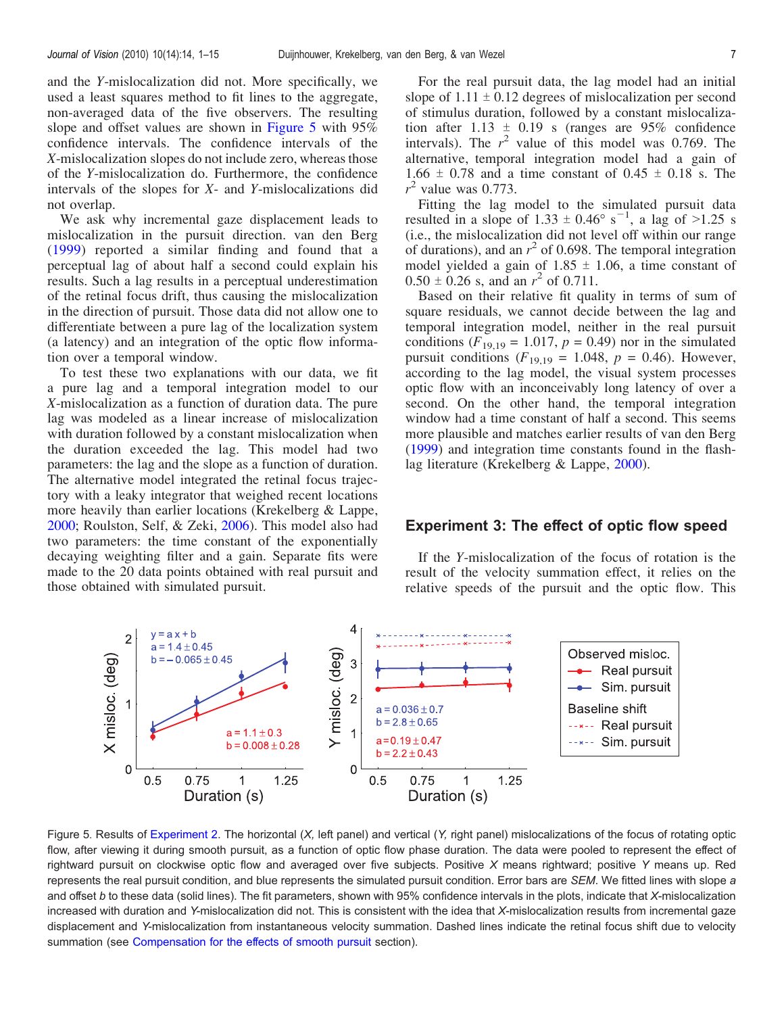<span id="page-6-0"></span>and the Y-mislocalization did not. More specifically, we used a least squares method to fit lines to the aggregate, non-averaged data of the five observers. The resulting slope and offset values are shown in Figure 5 with 95% confidence intervals. The confidence intervals of the X-mislocalization slopes do not include zero, whereas those of the Y-mislocalization do. Furthermore, the confidence intervals of the slopes for X- and Y-mislocalizations did not overlap.

We ask why incremental gaze displacement leads to mislocalization in the pursuit direction. van den Berg ([1999](#page-14-0)) reported a similar finding and found that a perceptual lag of about half a second could explain his results. Such a lag results in a perceptual underestimation of the retinal focus drift, thus causing the mislocalization in the direction of pursuit. Those data did not allow one to differentiate between a pure lag of the localization system (a latency) and an integration of the optic flow information over a temporal window.

To test these two explanations with our data, we fit a pure lag and a temporal integration model to our X-mislocalization as a function of duration data. The pure lag was modeled as a linear increase of mislocalization with duration followed by a constant mislocalization when the duration exceeded the lag. This model had two parameters: the lag and the slope as a function of duration. The alternative model integrated the retinal focus trajectory with a leaky integrator that weighed recent locations more heavily than earlier locations (Krekelberg & Lappe, [2000;](#page-13-0) Roulston, Self, & Zeki, [2006\)](#page-13-0). This model also had two parameters: the time constant of the exponentially decaying weighting filter and a gain. Separate fits were made to the 20 data points obtained with real pursuit and those obtained with simulated pursuit.

For the real pursuit data, the lag model had an initial slope of  $1.11 \pm 0.12$  degrees of mislocalization per second of stimulus duration, followed by a constant mislocalization after  $1.13 \pm 0.19$  s (ranges are 95% confidence intervals). The  $r^2$  value of this model was 0.769. The alternative, temporal integration model had a gain of  $1.66 \pm 0.78$  and a time constant of  $0.45 \pm 0.18$  s. The  $r^2$  value was 0.773.

Fitting the lag model to the simulated pursuit data resulted in a slope of  $1.33 \pm 0.46^{\circ} \text{ s}^{-1}$ , a lag of >1.25 s (i.e., the mislocalization did not level off within our range of durations), and an  $r^2$  of 0.698. The temporal integration model yielded a gain of  $1.85 \pm 1.06$ , a time constant of  $0.50 \pm 0.26$  s, and an  $r^2$  of 0.711.

Based on their relative fit quality in terms of sum of square residuals, we cannot decide between the lag and temporal integration model, neither in the real pursuit conditions ( $F_{19,19} = 1.017$ ,  $p = 0.49$ ) nor in the simulated pursuit conditions ( $F_{19,19} = 1.048$ ,  $p = 0.46$ ). However, according to the lag model, the visual system processes optic flow with an inconceivably long latency of over a second. On the other hand, the temporal integration window had a time constant of half a second. This seems more plausible and matches earlier results of van den Berg [\(1999](#page-14-0)) and integration time constants found in the flashlag literature (Krekelberg & Lappe, [2000\)](#page-13-0).

## Experiment 3: The effect of optic flow speed

If the Y-mislocalization of the focus of rotation is the result of the velocity summation effect, it relies on the relative speeds of the pursuit and the optic flow. This



Figure 5. Results of [Experiment 2](#page-5-0). The horizontal (X, left panel) and vertical (Y, right panel) mislocalizations of the focus of rotating optic flow, after viewing it during smooth pursuit, as a function of optic flow phase duration. The data were pooled to represent the effect of rightward pursuit on clockwise optic flow and averaged over five subjects. Positive  $X$  means rightward; positive Y means up. Red represents the real pursuit condition, and blue represents the simulated pursuit condition. Error bars are SEM. We fitted lines with slope a and offset b to these data (solid lines). The fit parameters, shown with 95% confidence intervals in the plots, indicate that X-mislocalization increased with duration and Y-mislocalization did not. This is consistent with the idea that X-mislocalization results from incremental gaze displacement and Y-mislocalization from instantaneous velocity summation. Dashed lines indicate the retinal focus shift due to velocity summation (see [Compensation for the effects of smooth pursuit](#page-8-0) section).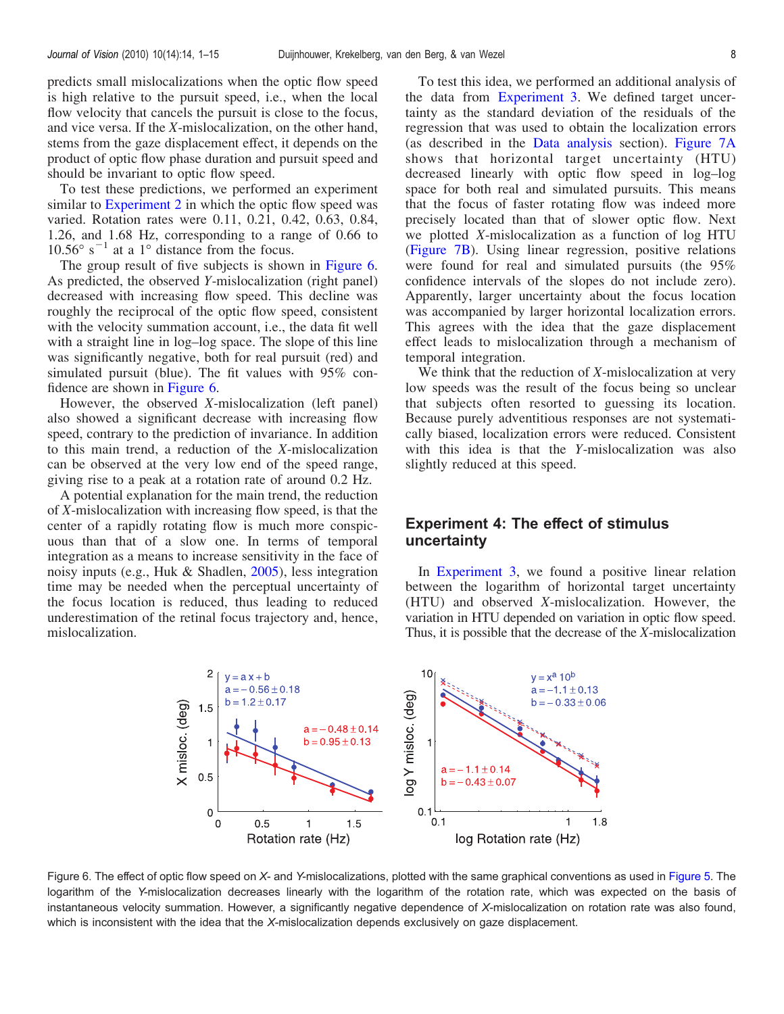<span id="page-7-0"></span>predicts small mislocalizations when the optic flow speed is high relative to the pursuit speed, i.e., when the local flow velocity that cancels the pursuit is close to the focus, and vice versa. If the X-mislocalization, on the other hand, stems from the gaze displacement effect, it depends on the product of optic flow phase duration and pursuit speed and should be invariant to optic flow speed.

To test these predictions, we performed an experiment similar to [Experiment 2](#page-5-0) in which the optic flow speed was varied. Rotation rates were 0.11, 0.21, 0.42, 0.63, 0.84, 1.26, and 1.68 Hz, corresponding to a range of 0.66 to  $10.56^{\circ}$  s<sup>-1</sup> at a 1<sup>o</sup> distance from the focus.

The group result of five subjects is shown in Figure 6. As predicted, the observed Y-mislocalization (right panel) decreased with increasing flow speed. This decline was roughly the reciprocal of the optic flow speed, consistent with the velocity summation account, i.e., the data fit well with a straight line in log–log space. The slope of this line was significantly negative, both for real pursuit (red) and simulated pursuit (blue). The fit values with 95% confidence are shown in Figure 6.

However, the observed X-mislocalization (left panel) also showed a significant decrease with increasing flow speed, contrary to the prediction of invariance. In addition to this main trend, a reduction of the X-mislocalization can be observed at the very low end of the speed range, giving rise to a peak at a rotation rate of around 0.2 Hz.

A potential explanation for the main trend, the reduction of X-mislocalization with increasing flow speed, is that the center of a rapidly rotating flow is much more conspicuous than that of a slow one. In terms of temporal integration as a means to increase sensitivity in the face of noisy inputs (e.g., Huk & Shadlen, [2005\)](#page-13-0), less integration time may be needed when the perceptual uncertainty of the focus location is reduced, thus leading to reduced underestimation of the retinal focus trajectory and, hence, mislocalization.

To test this idea, we performed an additional analysis of the data from [Experiment 3](#page-6-0). We defined target uncertainty as the standard deviation of the residuals of the regression that was used to obtain the localization errors (as described in the [Data analysis](#page-4-0) section). [Figure 7A](#page-8-0) shows that horizontal target uncertainty (HTU) decreased linearly with optic flow speed in log–log space for both real and simulated pursuits. This means that the focus of faster rotating flow was indeed more precisely located than that of slower optic flow. Next we plotted X-mislocalization as a function of log HTU [\(Figure 7B\)](#page-8-0). Using linear regression, positive relations were found for real and simulated pursuits (the 95% confidence intervals of the slopes do not include zero). Apparently, larger uncertainty about the focus location was accompanied by larger horizontal localization errors. This agrees with the idea that the gaze displacement effect leads to mislocalization through a mechanism of temporal integration.

We think that the reduction of  $X$ -mislocalization at very low speeds was the result of the focus being so unclear that subjects often resorted to guessing its location. Because purely adventitious responses are not systematically biased, localization errors were reduced. Consistent with this idea is that the Y-mislocalization was also slightly reduced at this speed.

## Experiment 4: The effect of stimulus uncertainty

In [Experiment 3](#page-6-0), we found a positive linear relation between the logarithm of horizontal target uncertainty (HTU) and observed X-mislocalization. However, the variation in HTU depended on variation in optic flow speed. Thus, it is possible that the decrease of the  $X$ -mislocalization



Figure 6. The effect of optic flow speed on X- and Y-mislocalizations, plotted with the same graphical conventions as used in [Figure 5.](#page-6-0) The logarithm of the Y-mislocalization decreases linearly with the logarithm of the rotation rate, which was expected on the basis of instantaneous velocity summation. However, a significantly negative dependence of X-mislocalization on rotation rate was also found, which is inconsistent with the idea that the X-mislocalization depends exclusively on gaze displacement.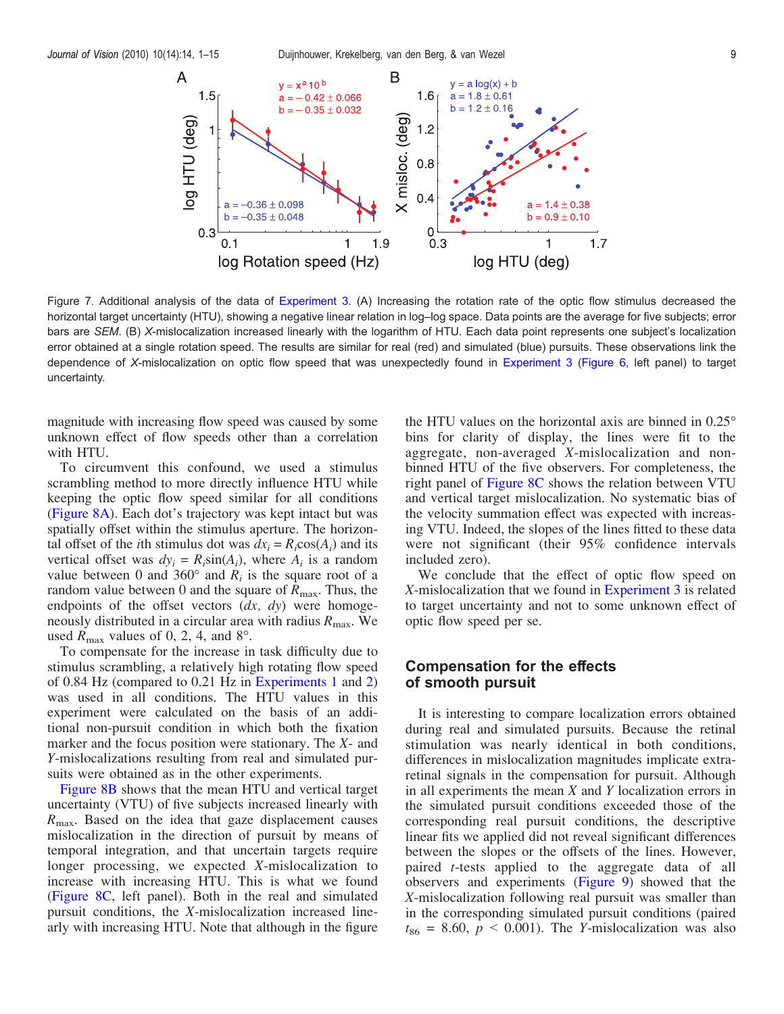<span id="page-8-0"></span>

Figure 7. Additional analysis of the data of [Experiment 3](#page-6-0). (A) Increasing the rotation rate of the optic flow stimulus decreased the horizontal target uncertainty (HTU), showing a negative linear relation in log–log space. Data points are the average for five subjects; error bars are SEM. (B) X-mislocalization increased linearly with the logarithm of HTU. Each data point represents one subject's localization error obtained at a single rotation speed. The results are similar for real (red) and simulated (blue) pursuits. These observations link the dependence of X-mislocalization on optic flow speed that was unexpectedly found in [Experiment 3](#page-6-0) [\(Figure 6,](#page-7-0) left panel) to target uncertainty.

magnitude with increasing flow speed was caused by some unknown effect of flow speeds other than a correlation with HTU.

To circumvent this confound, we used a stimulus scrambling method to more directly influence HTU while keeping the optic flow speed similar for all conditions ([Figure 8A\)](#page-9-0). Each dot's trajectory was kept intact but was spatially offset within the stimulus aperture. The horizontal offset of the *i*th stimulus dot was  $dx_i = R_i \cos(A_i)$  and its vertical offset was  $dy_i = R_i \sin(A_i)$ , where  $A_i$  is a random value between 0 and 360 $^{\circ}$  and  $R_i$  is the square root of a random value between 0 and the square of  $R_{\text{max}}$ . Thus, the endpoints of the offset vectors  $(dx, dy)$  were homogeneously distributed in a circular area with radius  $R_{\text{max}}$ . We used  $R_{\text{max}}$  values of 0, 2, 4, and 8°.

To compensate for the increase in task difficulty due to stimulus scrambling, a relatively high rotating flow speed of 0.84 Hz (compared to 0.21 Hz in [Experiments 1](#page-4-0) and [2\)](#page-5-0) was used in all conditions. The HTU values in this experiment were calculated on the basis of an additional non-pursuit condition in which both the fixation marker and the focus position were stationary. The X- and Y-mislocalizations resulting from real and simulated pursuits were obtained as in the other experiments.

[Figure 8B](#page-9-0) shows that the mean HTU and vertical target uncertainty (VTU) of five subjects increased linearly with  $R_{\text{max}}$ . Based on the idea that gaze displacement causes mislocalization in the direction of pursuit by means of temporal integration, and that uncertain targets require longer processing, we expected X-mislocalization to increase with increasing HTU. This is what we found ([Figure 8C](#page-9-0), left panel). Both in the real and simulated pursuit conditions, the X-mislocalization increased linearly with increasing HTU. Note that although in the figure the HTU values on the horizontal axis are binned in  $0.25^{\circ}$ bins for clarity of display, the lines were fit to the aggregate, non-averaged X-mislocalization and nonbinned HTU of the five observers. For completeness, the right panel of [Figure 8C](#page-9-0) shows the relation between VTU and vertical target mislocalization. No systematic bias of the velocity summation effect was expected with increasing VTU. Indeed, the slopes of the lines fitted to these data were not significant (their 95% confidence intervals included zero).

We conclude that the effect of optic flow speed on X-mislocalization that we found in [Experiment 3](#page-6-0) is related to target uncertainty and not to some unknown effect of optic flow speed per se.

### Compensation for the effects of smooth pursuit

It is interesting to compare localization errors obtained during real and simulated pursuits. Because the retinal stimulation was nearly identical in both conditions, differences in mislocalization magnitudes implicate extraretinal signals in the compensation for pursuit. Although in all experiments the mean X and Y localization errors in the simulated pursuit conditions exceeded those of the corresponding real pursuit conditions, the descriptive linear fits we applied did not reveal significant differences between the slopes or the offsets of the lines. However, paired t-tests applied to the aggregate data of all observers and experiments ([Figure 9](#page-10-0)) showed that the X-mislocalization following real pursuit was smaller than in the corresponding simulated pursuit conditions (paired  $t_{86}$  = 8.60,  $p < 0.001$ ). The Y-mislocalization was also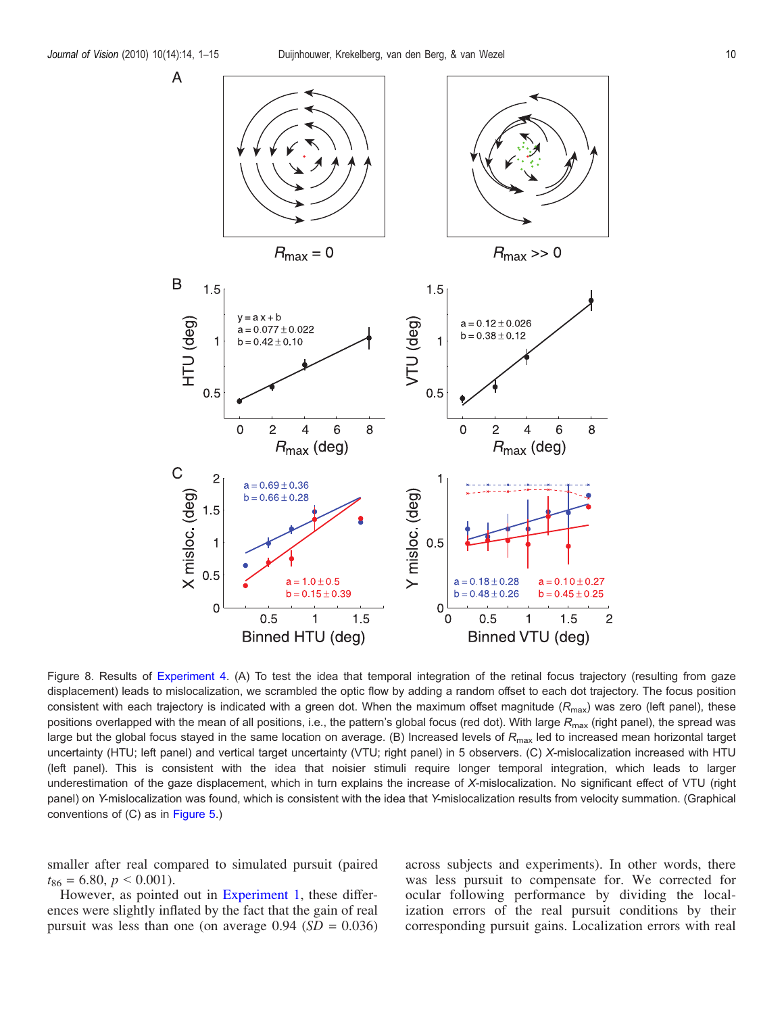<span id="page-9-0"></span>

Figure 8. Results of [Experiment 4.](#page-7-0) (A) To test the idea that temporal integration of the retinal focus trajectory (resulting from gaze displacement) leads to mislocalization, we scrambled the optic flow by adding a random offset to each dot trajectory. The focus position consistent with each trajectory is indicated with a green dot. When the maximum offset magnitude  $(R_{\text{max}})$  was zero (left panel), these positions overlapped with the mean of all positions, i.e., the pattern's global focus (red dot). With large  $R_{\text{max}}$  (right panel), the spread was large but the global focus stayed in the same location on average. (B) Increased levels of  $R_{\text{max}}$  led to increased mean horizontal target uncertainty (HTU; left panel) and vertical target uncertainty (VTU; right panel) in 5 observers. (C) X-mislocalization increased with HTU (left panel). This is consistent with the idea that noisier stimuli require longer temporal integration, which leads to larger underestimation of the gaze displacement, which in turn explains the increase of X-mislocalization. No significant effect of VTU (right panel) on Y-mislocalization was found, which is consistent with the idea that Y-mislocalization results from velocity summation. (Graphical conventions of (C) as in [Figure 5](#page-6-0).)

smaller after real compared to simulated pursuit (paired  $t_{86} = 6.80, p \le 0.001$ .

However, as pointed out in [Experiment 1,](#page-4-0) these differences were slightly inflated by the fact that the gain of real pursuit was less than one (on average  $0.94$  ( $SD = 0.036$ ) across subjects and experiments). In other words, there was less pursuit to compensate for. We corrected for ocular following performance by dividing the localization errors of the real pursuit conditions by their corresponding pursuit gains. Localization errors with real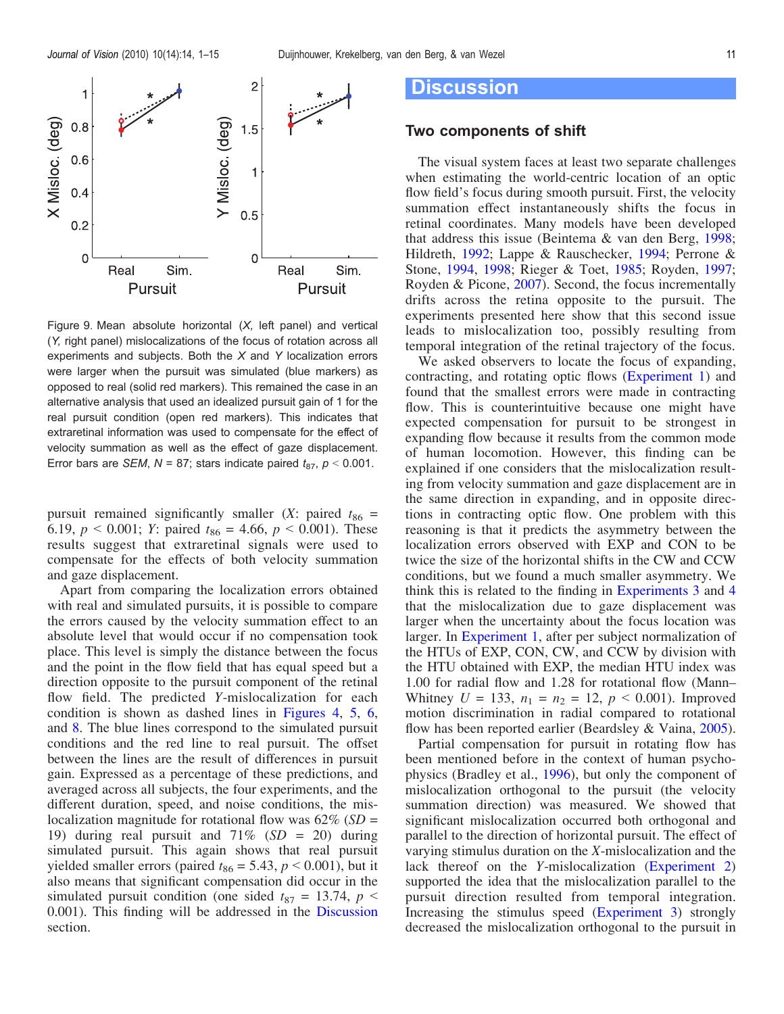<span id="page-10-0"></span>

Figure 9. Mean absolute horizontal (X, left panel) and vertical (Y, right panel) mislocalizations of the focus of rotation across all experiments and subjects. Both the  $X$  and  $Y$  localization errors were larger when the pursuit was simulated (blue markers) as opposed to real (solid red markers). This remained the case in an alternative analysis that used an idealized pursuit gain of 1 for the real pursuit condition (open red markers). This indicates that extraretinal information was used to compensate for the effect of velocity summation as well as the effect of gaze displacement. Error bars are SEM,  $N = 87$ ; stars indicate paired  $t_{87}$ ,  $p < 0.001$ .

pursuit remained significantly smaller  $(X:$  paired  $t_{86}$  = 6.19,  $p < 0.001$ ; Y: paired  $t_{86} = 4.66$ ,  $p < 0.001$ ). These results suggest that extraretinal signals were used to compensate for the effects of both velocity summation and gaze displacement.

Apart from comparing the localization errors obtained with real and simulated pursuits, it is possible to compare the errors caused by the velocity summation effect to an absolute level that would occur if no compensation took place. This level is simply the distance between the focus and the point in the flow field that has equal speed but a direction opposite to the pursuit component of the retinal flow field. The predicted Y-mislocalization for each condition is shown as dashed lines in [Figures 4](#page-5-0), [5,](#page-6-0) [6](#page-7-0), and [8](#page-9-0). The blue lines correspond to the simulated pursuit conditions and the red line to real pursuit. The offset between the lines are the result of differences in pursuit gain. Expressed as a percentage of these predictions, and averaged across all subjects, the four experiments, and the different duration, speed, and noise conditions, the mislocalization magnitude for rotational flow was  $62\%$  (SD = 19) during real pursuit and  $71\%$  (SD = 20) during simulated pursuit. This again shows that real pursuit yielded smaller errors (paired  $t_{86} = 5.43$ ,  $p < 0.001$ ), but it also means that significant compensation did occur in the simulated pursuit condition (one sided  $t_{87} = 13.74$ ,  $p \leq$ 0.001). This finding will be addressed in the Discussion section.

## **Discussion**

#### Two components of shift

The visual system faces at least two separate challenges when estimating the world-centric location of an optic flow field's focus during smooth pursuit. First, the velocity summation effect instantaneously shifts the focus in retinal coordinates. Many models have been developed that address this issue (Beintema & van den Berg, [1998;](#page-12-0) Hildreth, [1992](#page-13-0); Lappe & Rauschecker, [1994](#page-13-0); Perrone & Stone, [1994](#page-13-0), [1998](#page-13-0); Rieger & Toet, [1985;](#page-13-0) Royden, [1997;](#page-13-0) Royden & Picone, [2007](#page-14-0)). Second, the focus incrementally drifts across the retina opposite to the pursuit. The experiments presented here show that this second issue leads to mislocalization too, possibly resulting from temporal integration of the retinal trajectory of the focus.

We asked observers to locate the focus of expanding, contracting, and rotating optic flows [\(Experiment 1](#page-4-0)) and found that the smallest errors were made in contracting flow. This is counterintuitive because one might have expected compensation for pursuit to be strongest in expanding flow because it results from the common mode of human locomotion. However, this finding can be explained if one considers that the mislocalization resulting from velocity summation and gaze displacement are in the same direction in expanding, and in opposite directions in contracting optic flow. One problem with this reasoning is that it predicts the asymmetry between the localization errors observed with EXP and CON to be twice the size of the horizontal shifts in the CW and CCW conditions, but we found a much smaller asymmetry. We think this is related to the finding in [Experiments 3](#page-6-0) and [4](#page-7-0) that the mislocalization due to gaze displacement was larger when the uncertainty about the focus location was larger. In [Experiment 1,](#page-4-0) after per subject normalization of the HTUs of EXP, CON, CW, and CCW by division with the HTU obtained with EXP, the median HTU index was 1.00 for radial flow and 1.28 for rotational flow (Mann– Whitney  $U = 133$ ,  $n_1 = n_2 = 12$ ,  $p < 0.001$ ). Improved motion discrimination in radial compared to rotational flow has been reported earlier (Beardsley & Vaina, [2005\)](#page-12-0).

Partial compensation for pursuit in rotating flow has been mentioned before in the context of human psychophysics (Bradley et al., [1996\)](#page-12-0), but only the component of mislocalization orthogonal to the pursuit (the velocity summation direction) was measured. We showed that significant mislocalization occurred both orthogonal and parallel to the direction of horizontal pursuit. The effect of varying stimulus duration on the X-mislocalization and the lack thereof on the Y-mislocalization [\(Experiment 2](#page-5-0)) supported the idea that the mislocalization parallel to the pursuit direction resulted from temporal integration. Increasing the stimulus speed [\(Experiment 3](#page-6-0)) strongly decreased the mislocalization orthogonal to the pursuit in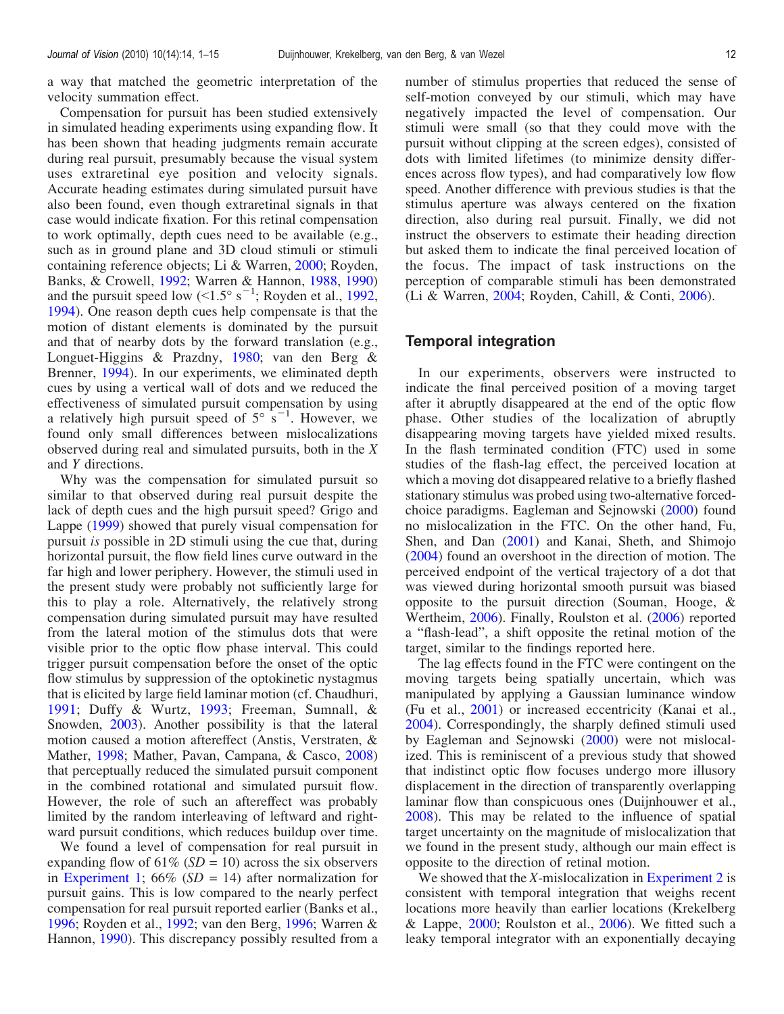a way that matched the geometric interpretation of the velocity summation effect.

Compensation for pursuit has been studied extensively in simulated heading experiments using expanding flow. It has been shown that heading judgments remain accurate during real pursuit, presumably because the visual system uses extraretinal eye position and velocity signals. Accurate heading estimates during simulated pursuit have also been found, even though extraretinal signals in that case would indicate fixation. For this retinal compensation to work optimally, depth cues need to be available (e.g., such as in ground plane and 3D cloud stimuli or stimuli containing reference objects; Li & Warren, [2000](#page-13-0); Royden, Banks, & Crowell, [1992;](#page-13-0) Warren & Hannon, [1988,](#page-14-0) [1990\)](#page-14-0) and the pursuit speed low  $(<1.5^{\circ} s^{-1}$ ; Royden et al., [1992](#page-13-0), [1994\)](#page-14-0). One reason depth cues help compensate is that the motion of distant elements is dominated by the pursuit and that of nearby dots by the forward translation (e.g., Longuet-Higgins & Prazdny, [1980](#page-13-0); van den Berg & Brenner, [1994\)](#page-14-0). In our experiments, we eliminated depth cues by using a vertical wall of dots and we reduced the effectiveness of simulated pursuit compensation by using a relatively high pursuit speed of  $5^{\circ}$  s<sup>-1</sup>. However, we found only small differences between mislocalizations observed during real and simulated pursuits, both in the X and Y directions.

Why was the compensation for simulated pursuit so similar to that observed during real pursuit despite the lack of depth cues and the high pursuit speed? Grigo and Lappe [\(1999](#page-13-0)) showed that purely visual compensation for pursuit is possible in 2D stimuli using the cue that, during horizontal pursuit, the flow field lines curve outward in the far high and lower periphery. However, the stimuli used in the present study were probably not sufficiently large for this to play a role. Alternatively, the relatively strong compensation during simulated pursuit may have resulted from the lateral motion of the stimulus dots that were visible prior to the optic flow phase interval. This could trigger pursuit compensation before the onset of the optic flow stimulus by suppression of the optokinetic nystagmus that is elicited by large field laminar motion (cf. Chaudhuri, [1991;](#page-12-0) Duffy & Wurtz, [1993](#page-13-0); Freeman, Sumnall, & Snowden, [2003\)](#page-13-0). Another possibility is that the lateral motion caused a motion aftereffect (Anstis, Verstraten, & Mather, [1998;](#page-12-0) Mather, Pavan, Campana, & Casco, [2008\)](#page-13-0) that perceptually reduced the simulated pursuit component in the combined rotational and simulated pursuit flow. However, the role of such an aftereffect was probably limited by the random interleaving of leftward and rightward pursuit conditions, which reduces buildup over time.

We found a level of compensation for real pursuit in expanding flow of  $61\%$  (SD = 10) across the six observers in [Experiment 1;](#page-4-0) 66% ( $SD = 14$ ) after normalization for pursuit gains. This is low compared to the nearly perfect compensation for real pursuit reported earlier (Banks et al., [1996;](#page-12-0) Royden et al., [1992;](#page-13-0) van den Berg, [1996;](#page-14-0) Warren & Hannon, [1990\)](#page-14-0). This discrepancy possibly resulted from a number of stimulus properties that reduced the sense of self-motion conveyed by our stimuli, which may have negatively impacted the level of compensation. Our stimuli were small (so that they could move with the pursuit without clipping at the screen edges), consisted of dots with limited lifetimes (to minimize density differences across flow types), and had comparatively low flow speed. Another difference with previous studies is that the stimulus aperture was always centered on the fixation direction, also during real pursuit. Finally, we did not instruct the observers to estimate their heading direction but asked them to indicate the final perceived location of the focus. The impact of task instructions on the perception of comparable stimuli has been demonstrated (Li & Warren, [2004](#page-13-0); Royden, Cahill, & Conti, [2006](#page-14-0)).

#### Temporal integration

In our experiments, observers were instructed to indicate the final perceived position of a moving target after it abruptly disappeared at the end of the optic flow phase. Other studies of the localization of abruptly disappearing moving targets have yielded mixed results. In the flash terminated condition (FTC) used in some studies of the flash-lag effect, the perceived location at which a moving dot disappeared relative to a briefly flashed stationary stimulus was probed using two-alternative forcedchoice paradigms. Eagleman and Sejnowski ([2000\)](#page-13-0) found no mislocalization in the FTC. On the other hand, Fu, Shen, and Dan ([2001\)](#page-13-0) and Kanai, Sheth, and Shimojo [\(2004](#page-13-0)) found an overshoot in the direction of motion. The perceived endpoint of the vertical trajectory of a dot that was viewed during horizontal smooth pursuit was biased opposite to the pursuit direction (Souman, Hooge, & Wertheim, [2006\)](#page-14-0). Finally, Roulston et al. [\(2006](#page-13-0)) reported a "flash-lead", a shift opposite the retinal motion of the target, similar to the findings reported here.

The lag effects found in the FTC were contingent on the moving targets being spatially uncertain, which was manipulated by applying a Gaussian luminance window (Fu et al., [2001](#page-13-0)) or increased eccentricity (Kanai et al., [2004\)](#page-13-0). Correspondingly, the sharply defined stimuli used by Eagleman and Sejnowski ([2000](#page-13-0)) were not mislocalized. This is reminiscent of a previous study that showed that indistinct optic flow focuses undergo more illusory displacement in the direction of transparently overlapping laminar flow than conspicuous ones (Duijnhouwer et al., [2008\)](#page-13-0). This may be related to the influence of spatial target uncertainty on the magnitude of mislocalization that we found in the present study, although our main effect is opposite to the direction of retinal motion.

We showed that the X-mislocalization in [Experiment 2](#page-5-0) is consistent with temporal integration that weighs recent locations more heavily than earlier locations (Krekelberg & Lappe,  $2000$ ; Roulston et al.,  $2006$ ). We fitted such a leaky temporal integrator with an exponentially decaying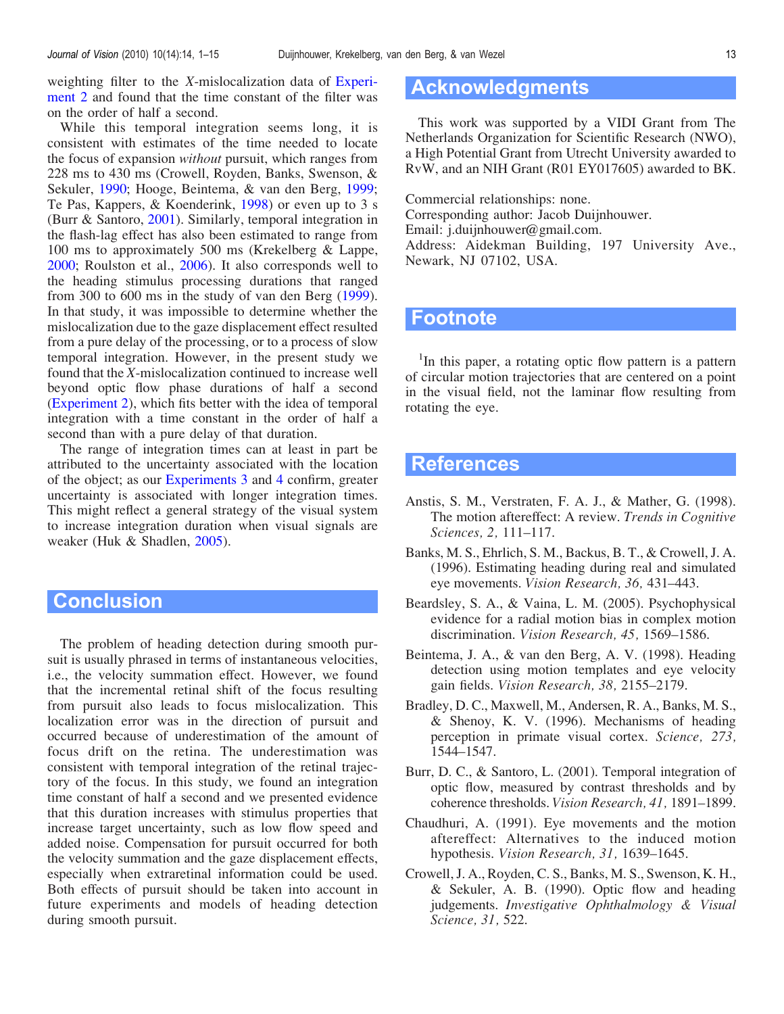<span id="page-12-0"></span>weighting filter to the X-mislocalization data of [Experi](#page-5-0)[ment 2](#page-5-0) and found that the time constant of the filter was on the order of half a second.

While this temporal integration seems long, it is consistent with estimates of the time needed to locate the focus of expansion without pursuit, which ranges from 228 ms to 430 ms (Crowell, Royden, Banks, Swenson, & Sekuler, 1990; Hooge, Beintema, & van den Berg, [1999](#page-13-0); Te Pas, Kappers, & Koenderink, [1998\)](#page-14-0) or even up to 3 s (Burr & Santoro, 2001). Similarly, temporal integration in the flash-lag effect has also been estimated to range from 100 ms to approximately 500 ms (Krekelberg & Lappe, [2000;](#page-13-0) Roulston et al., [2006](#page-13-0)). It also corresponds well to the heading stimulus processing durations that ranged from 300 to 600 ms in the study of van den Berg ([1999\)](#page-14-0). In that study, it was impossible to determine whether the mislocalization due to the gaze displacement effect resulted from a pure delay of the processing, or to a process of slow temporal integration. However, in the present study we found that the X-mislocalization continued to increase well beyond optic flow phase durations of half a second ([Experiment 2](#page-5-0)), which fits better with the idea of temporal integration with a time constant in the order of half a second than with a pure delay of that duration.

The range of integration times can at least in part be attributed to the uncertainty associated with the location of the object; as our [Experiments 3](#page-6-0) and [4](#page-7-0) confirm, greater uncertainty is associated with longer integration times. This might reflect a general strategy of the visual system to increase integration duration when visual signals are weaker (Huk & Shadlen, [2005](#page-13-0)).

# **Conclusion**

The problem of heading detection during smooth pursuit is usually phrased in terms of instantaneous velocities, i.e., the velocity summation effect. However, we found that the incremental retinal shift of the focus resulting from pursuit also leads to focus mislocalization. This localization error was in the direction of pursuit and occurred because of underestimation of the amount of focus drift on the retina. The underestimation was consistent with temporal integration of the retinal trajectory of the focus. In this study, we found an integration time constant of half a second and we presented evidence that this duration increases with stimulus properties that increase target uncertainty, such as low flow speed and added noise. Compensation for pursuit occurred for both the velocity summation and the gaze displacement effects, especially when extraretinal information could be used. Both effects of pursuit should be taken into account in future experiments and models of heading detection during smooth pursuit.

# Acknowledgments

This work was supported by a VIDI Grant from The Netherlands Organization for Scientific Research (NWO), a High Potential Grant from Utrecht University awarded to RvW, and an NIH Grant (R01 EY017605) awarded to BK.

Commercial relationships: none. Corresponding author: Jacob Duijnhouwer. Email: j.duijnhouwer@gmail.com. Address: Aidekman Building, 197 University Ave., Newark, NJ 07102, USA.

## Footnote

<sup>1</sup>In this paper, a rotating optic flow pattern is a pattern of circular motion trajectories that are centered on a point in the visual field, not the laminar flow resulting from rotating the eye.

## References

- Anstis, S. M., Verstraten, F. A. J., & Mather, G. (1998). The motion aftereffect: A review. Trends in Cognitive Sciences, 2, 111–117.
- Banks, M. S., Ehrlich, S. M., Backus, B. T., & Crowell, J. A. (1996). Estimating heading during real and simulated eye movements. Vision Research, 36, 431-443.
- Beardsley, S. A., & Vaina, L. M. (2005). Psychophysical evidence for a radial motion bias in complex motion discrimination. Vision Research, 45, 1569–1586.
- Beintema, J. A., & van den Berg, A. V. (1998). Heading detection using motion templates and eye velocity gain fields. Vision Research, 38, 2155–2179.
- Bradley, D. C., Maxwell, M., Andersen, R. A., Banks, M. S., & Shenoy, K. V. (1996). Mechanisms of heading perception in primate visual cortex. Science, 273, 1544–1547.
- Burr, D. C., & Santoro, L. (2001). Temporal integration of optic flow, measured by contrast thresholds and by coherence thresholds. Vision Research, 41, 1891–1899.
- Chaudhuri, A. (1991). Eye movements and the motion aftereffect: Alternatives to the induced motion hypothesis. Vision Research, 31, 1639–1645.
- Crowell, J. A., Royden, C. S., Banks, M. S., Swenson, K. H., & Sekuler, A. B. (1990). Optic flow and heading judgements. Investigative Ophthalmology & Visual Science, 31, 522.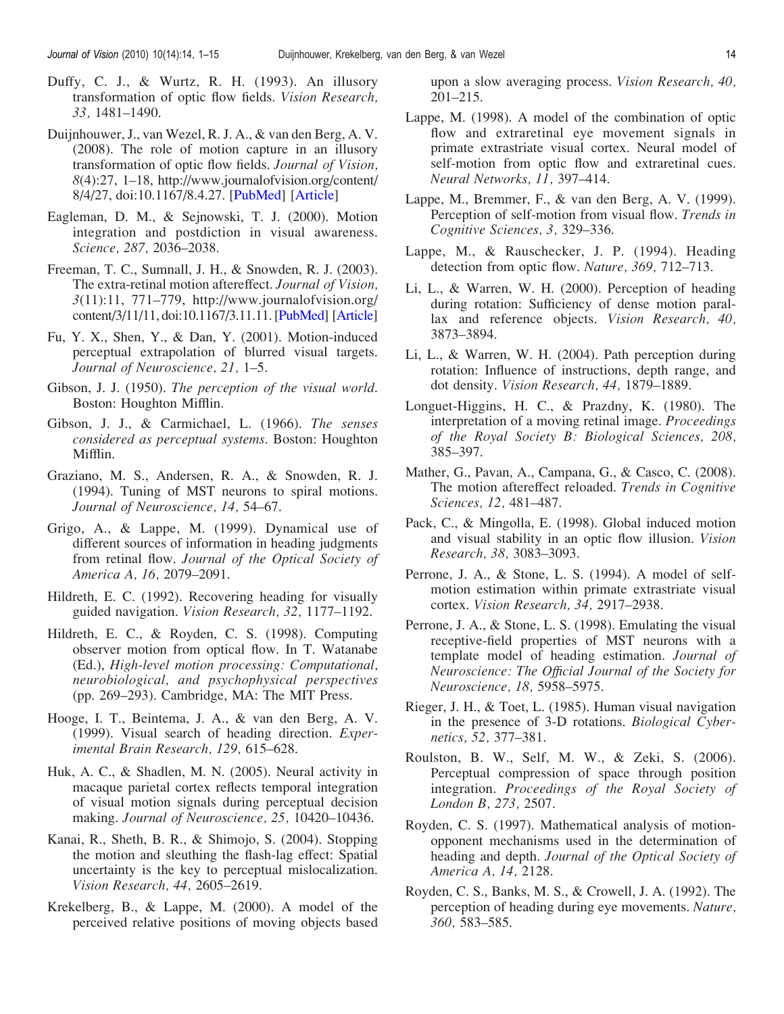- <span id="page-13-0"></span>Duffy, C. J., & Wurtz, R. H. (1993). An illusory transformation of optic flow fields. Vision Research, 33, 1481–1490.
- Duijnhouwer, J., van Wezel, R. J. A., & van den Berg, A. V. (2008). The role of motion capture in an illusory transformation of optic flow fields. Journal of Vision, 8(4):27, 1–18, http://www.journalofvision.org/content/ 8/4/27, doi:10.1167/8.4.27. [[PubMed\]](http://www.ncbi.nlm.nih.gov/pubmed/18484866) [[Article](http://www.journalofvision.org/content/8/4/27)]
- Eagleman, D. M., & Sejnowski, T. J. (2000). Motion integration and postdiction in visual awareness. Science, 287, 2036–2038.
- Freeman, T. C., Sumnall, J. H., & Snowden, R. J. (2003). The extra-retinal motion aftereffect. Journal of Vision, 3(11):11, 771–779, http://www.journalofvision.org/ content/3/11/11, doi:10.1167/3.11.11. [[PubMed](http://www.ncbi.nlm.nih.gov/pubmed/14765960)] [\[Article\]](http://www.journalofvision.org/content/3/11/11)
- Fu, Y. X., Shen, Y., & Dan, Y. (2001). Motion-induced perceptual extrapolation of blurred visual targets. Journal of Neuroscience, 21, 1–5.
- Gibson, J. J. (1950). The perception of the visual world. Boston: Houghton Mifflin.
- Gibson, J. J., & Carmichael, L. (1966). The senses considered as perceptual systems. Boston: Houghton Mifflin.
- Graziano, M. S., Andersen, R. A., & Snowden, R. J. (1994). Tuning of MST neurons to spiral motions. Journal of Neuroscience, 14, 54–67.
- Grigo, A., & Lappe, M. (1999). Dynamical use of different sources of information in heading judgments from retinal flow. Journal of the Optical Society of America A, 16, 2079–2091.
- Hildreth, E. C. (1992). Recovering heading for visually guided navigation. Vision Research, 32, 1177–1192.
- Hildreth, E. C., & Royden, C. S. (1998). Computing observer motion from optical flow. In T. Watanabe (Ed.), High-level motion processing: Computational, neurobiological, and psychophysical perspectives (pp. 269–293). Cambridge, MA: The MIT Press.
- Hooge, I. T., Beintema, J. A., & van den Berg, A. V. (1999). Visual search of heading direction. Experimental Brain Research, 129, 615–628.
- Huk, A. C., & Shadlen, M. N. (2005). Neural activity in macaque parietal cortex reflects temporal integration of visual motion signals during perceptual decision making. Journal of Neuroscience, 25, 10420–10436.
- Kanai, R., Sheth, B. R., & Shimojo, S. (2004). Stopping the motion and sleuthing the flash-lag effect: Spatial uncertainty is the key to perceptual mislocalization. Vision Research, 44, 2605–2619.
- Krekelberg, B., & Lappe, M. (2000). A model of the perceived relative positions of moving objects based

upon a slow averaging process. Vision Research, 40, 201–215.

- Lappe, M. (1998). A model of the combination of optic flow and extraretinal eye movement signals in primate extrastriate visual cortex. Neural model of self-motion from optic flow and extraretinal cues. Neural Networks, 11, 397–414.
- Lappe, M., Bremmer, F., & van den Berg, A. V. (1999). Perception of self-motion from visual flow. Trends in Cognitive Sciences, 3, 329–336.
- Lappe, M., & Rauschecker, J. P. (1994). Heading detection from optic flow. Nature, 369, 712–713.
- Li, L., & Warren, W. H. (2000). Perception of heading during rotation: Sufficiency of dense motion parallax and reference objects. Vision Research, 40, 3873–3894.
- Li, L., & Warren, W. H. (2004). Path perception during rotation: Influence of instructions, depth range, and dot density. Vision Research, 44, 1879–1889.
- Longuet-Higgins, H. C., & Prazdny, K. (1980). The interpretation of a moving retinal image. Proceedings of the Royal Society B: Biological Sciences, 208, 385–397.
- Mather, G., Pavan, A., Campana, G., & Casco, C. (2008). The motion aftereffect reloaded. Trends in Cognitive Sciences, 12, 481–487.
- Pack, C., & Mingolla, E. (1998). Global induced motion and visual stability in an optic flow illusion. Vision Research, 38, 3083–3093.
- Perrone, J. A., & Stone, L. S. (1994). A model of selfmotion estimation within primate extrastriate visual cortex. Vision Research, 34, 2917–2938.
- Perrone, J. A., & Stone, L. S. (1998). Emulating the visual receptive-field properties of MST neurons with a template model of heading estimation. Journal of Neuroscience: The Official Journal of the Society for Neuroscience, 18, 5958–5975.
- Rieger, J. H., & Toet, L. (1985). Human visual navigation in the presence of 3-D rotations. Biological Cybernetics, 52, 377–381.
- Roulston, B. W., Self, M. W., & Zeki, S. (2006). Perceptual compression of space through position integration. Proceedings of the Royal Society of London B, 273, 2507.
- Royden, C. S. (1997). Mathematical analysis of motionopponent mechanisms used in the determination of heading and depth. Journal of the Optical Society of America A, 14, 2128.
- Royden, C. S., Banks, M. S., & Crowell, J. A. (1992). The perception of heading during eye movements. Nature, 360, 583–585.